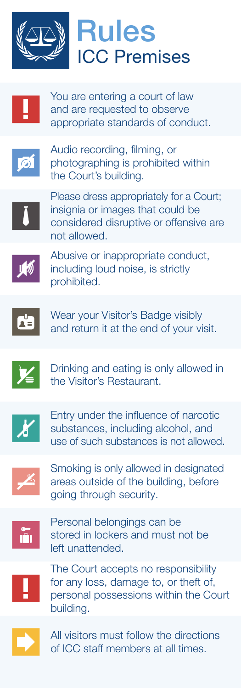

## ICC Premises Rules



You are entering a court of law and are requested to observe appropriate standards of conduct.



Audio recording, filming, or photographing is prohibited within the Court's building.



Please dress appropriately for a Court; insignia or images that could be considered disruptive or offensive are not allowed.



Abusive or inappropriate conduct, including loud noise, is strictly prohibited.



Wear your Visitor's Badge visibly and return it at the end of your visit.



Drinking and eating is only allowed in the Visitor's Restaurant.



Entry under the influence of narcotic substances, including alcohol, and use of such substances is not allowed.



Smoking is only allowed in designated areas outside of the building, before going through security.



Personal belongings can be stored in lockers and must not be left unattended.



The Court accepts no responsibility for any loss, damage to, or theft of, personal possessions within the Court building.



All visitors must follow the directions of ICC staff members at all times.